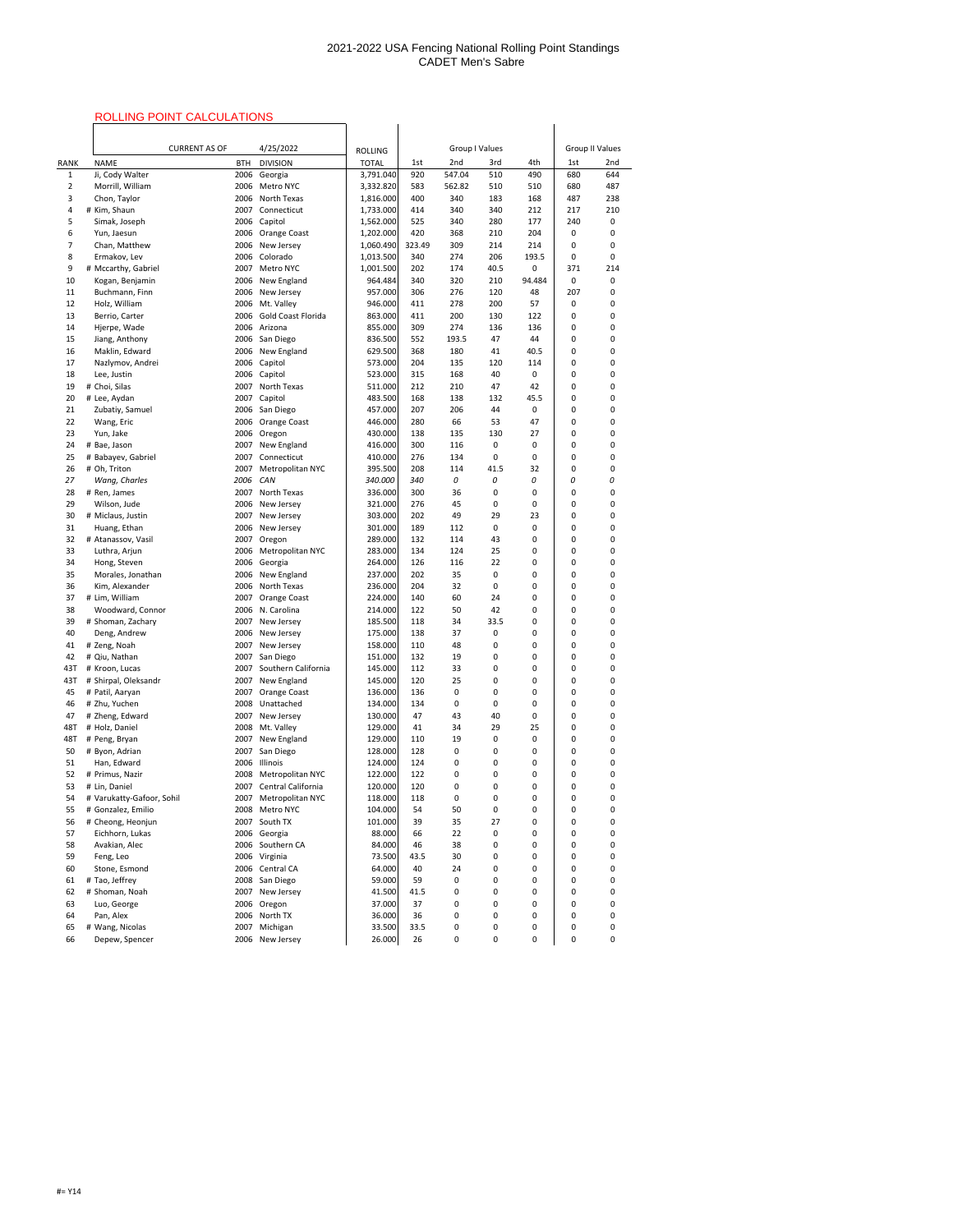# ROLLING POINT CALCULATIONS

|                |                                    | <b>INSEEMS LIST OF THE STREET LIST OF THE STREET</b> |                           |                                |            |           |         |                        |            |              |
|----------------|------------------------------------|------------------------------------------------------|---------------------------|--------------------------------|------------|-----------|---------|------------------------|------------|--------------|
|                | 4/25/2022<br><b>CURRENT AS OF</b>  |                                                      |                           | <b>Group I Values</b>          |            |           |         | <b>Group II Values</b> |            |              |
| <b>RANK</b>    | <b>NAME</b>                        | <b>BTH</b>                                           | <b>DIVISION</b>           | <b>ROLLING</b><br><b>TOTAL</b> |            | 2nd       | 3rd     | 4th                    |            | 2nd          |
| $\mathbf{1}$   | Ji, Cody Walter                    | 2006                                                 | Georgia                   | 3,791.040                      | 1st<br>920 | 547.04    | 510     | 490                    | 1st<br>680 | 644          |
| $\overline{2}$ | Morrill, William                   | 2006                                                 | Metro NYC                 | 3,332.820                      | 583        | 562.82    | 510     | 510                    | 680        | 487          |
| 3              | Chon, Taylor                       | 2006                                                 | North Texas               | 1,816.000                      | 400        | 340       | 183     | 168                    | 487        | 238          |
| 4              | # Kim, Shaun                       | 2007                                                 | Connecticut               | 1,733.000                      | 414        | 340       | 340     | 212                    | 217        | 210          |
| 5              | Simak, Joseph                      | 2006                                                 | Capitol                   | 1,562.000                      | 525        | 340       | 280     | 177                    | 240        | 0            |
| 6              | Yun, Jaesun                        | 2006                                                 | Orange Coast              | 1,202.000                      | 420        | 368       | 210     | 204                    | 0          | 0            |
| 7              | Chan, Matthew                      | 2006                                                 | New Jersey                | 1,060.490                      | 323.49     | 309       | 214     | 214                    | 0          | 0            |
| 8              | Ermakov, Lev                       | 2006                                                 | Colorado                  | 1,013.500                      | 340        | 274       | 206     | 193.5                  | 0          | $\mathbf{0}$ |
| 9              | # Mccarthy, Gabriel                | 2007                                                 | Metro NYC                 | 1,001.500                      | 202        | 174       | 40.5    | 0                      | 371        | 214          |
| 10             | Kogan, Benjamin                    | 2006                                                 | New England               | 964.484                        | 340        | 320       | 210     | 94.484                 | 0          | 0            |
| 11             | Buchmann, Finn                     | 2006                                                 | New Jersey                | 957.000                        | 306        | 276       | 120     | 48                     | 207        | 0            |
| 12             | Holz, William                      | 2006                                                 | Mt. Valley                | 946.000                        | 411        | 278       | 200     | 57                     | 0          | 0            |
| 13             | Berrio, Carter                     | 2006                                                 | <b>Gold Coast Florida</b> | 863.000                        | 411        | 200       | 130     | 122                    | 0          | 0            |
| 14             | Hjerpe, Wade                       | 2006                                                 | Arizona                   | 855.000                        | 309        | 274       | 136     | 136                    | 0          | 0            |
| 15             | Jiang, Anthony                     | 2006                                                 | San Diego                 | 836.500                        | 552        | 193.5     | 47      | 44                     | 0          | 0            |
| 16             | Maklin, Edward                     | 2006                                                 | New England               | 629.500                        | 368        | 180       | 41      | 40.5                   | 0          | 0            |
| 17             | Nazlymov, Andrei                   | 2006                                                 | Capitol                   | 573.000                        | 204        | 135       | 120     | 114                    | 0          | 0            |
| 18             | Lee, Justin                        | 2006                                                 | Capitol                   | 523.000                        | 315        | 168       | 40      | 0                      | 0          | 0            |
| 19             | # Choi, Silas                      | 2007                                                 | North Texas               | 511.000                        | 212        | 210       | 47      | 42                     | 0          | 0            |
| 20             | # Lee, Aydan                       | 2007                                                 | Capitol                   | 483.500                        | 168        | 138       | 132     | 45.5                   | 0          | 0            |
| 21             | Zubatiy, Samuel                    | 2006                                                 | San Diego                 | 457.000                        | 207        | 206       | 44      | 0                      | 0          | 0            |
| 22             | Wang, Eric                         | 2006                                                 | Orange Coast              | 446.000                        | 280        | 66        | 53      | 47                     | 0          | 0            |
| 23             | Yun, Jake                          | 2006                                                 | Oregon                    | 430.000                        | 138        | 135       | 130     | 27                     | 0          | 0            |
| 24             | # Bae, Jason                       | 2007                                                 | New England               | 416.000                        | 300        | 116       | 0       | 0                      | 0          | 0            |
| 25             | # Babayev, Gabriel                 | 2007                                                 | Connecticut               | 410.000                        | 276        | 134       | 0       | 0                      | 0          | 0            |
| 26             | # Oh, Triton                       | 2007                                                 | Metropolitan NYC          | 395.500                        | 208        | 114       | 41.5    | 32                     | 0          | 0            |
| 27             | Wang, Charles                      | 2006                                                 | CAN                       | 340.000                        | 340        | 0         | 0       | 0                      | 0          | O            |
| 28             | # Ren, James                       | 2007                                                 | North Texas               | 336.000                        | 300        | 36        | 0       | 0                      | 0          | 0            |
| 29             | Wilson, Jude                       | 2006                                                 | New Jersey                | 321.000                        | 276        | 45        | 0       | 0                      | 0          | 0            |
| 30<br>31       | # Miclaus, Justin                  | 2007<br>2006                                         | New Jersey                | 303.000<br>301.000             | 202<br>189 | 49<br>112 | 29<br>0 | 23<br>0                | 0<br>0     | 0<br>0       |
| 32             | Huang, Ethan<br># Atanassov, Vasil | 2007                                                 | New Jersey<br>Oregon      | 289.000                        | 132        | 114       | 43      | 0                      | 0          | 0            |
| 33             | Luthra, Arjun                      | 2006                                                 | Metropolitan NYC          | 283.000                        | 134        | 124       | 25      | 0                      | 0          | 0            |
| 34             | Hong, Steven                       | 2006                                                 | Georgia                   | 264.000                        | 126        | 116       | 22      | 0                      | 0          | 0            |
| 35             | Morales, Jonathan                  | 2006                                                 | New England               | 237.000                        | 202        | 35        | 0       | 0                      | 0          | 0            |
| 36             | Kim, Alexander                     | 2006                                                 | North Texas               | 236.000                        | 204        | 32        | 0       | 0                      | 0          | 0            |
| 37             | # Lim, William                     | 2007                                                 | <b>Orange Coast</b>       | 224.000                        | 140        | 60        | 24      | 0                      | 0          | 0            |
| 38             | Woodward, Connor                   | 2006                                                 | N. Carolina               | 214.000                        | 122        | 50        | 42      | 0                      | 0          | 0            |
| 39             | # Shoman, Zachary                  | 2007                                                 | New Jersey                | 185.500                        | 118        | 34        | 33.5    | 0                      | 0          | 0            |
| 40             | Deng, Andrew                       | 2006                                                 | New Jersey                | 175.000                        | 138        | 37        | 0       | 0                      | 0          | 0            |
| 41             | # Zeng, Noah                       | 2007                                                 | New Jersey                | 158.000                        | 110        | 48        | 0       | 0                      | 0          | 0            |
| 42             | # Qiu, Nathan                      | 2007                                                 | San Diego                 | 151.000                        | 132        | 19        | 0       | 0                      | 0          | 0            |
| 43T            | # Kroon, Lucas                     | 2007                                                 | Southern California       | 145.000                        | 112        | 33        | 0       | 0                      | 0          | 0            |
| 43T            | # Shirpal, Oleksandr               | 2007                                                 | New England               | 145.000                        | 120        | 25        | 0       | 0                      | 0          | 0            |
| 45             | # Patil, Aaryan                    | 2007                                                 | Orange Coast              | 136.000                        | 136        | 0         | 0       | 0                      | 0          | 0            |
| 46             | # Zhu, Yuchen                      | 2008                                                 | Unattached                | 134.000                        | 134        | 0         | 0       | 0                      | 0          | 0            |
| 47             | # Zheng, Edward                    | 2007                                                 | New Jersey                | 130.000                        | 47         | 43        | 40      | 0                      | 0          | 0            |
| 48T            | # Holz, Daniel                     | 2008                                                 | Mt. Valley                | 129.000                        | 41         | 34        | 29      | 25                     | 0          | 0            |
| 48T            | # Peng, Bryan                      | 2007                                                 | New England               | 129.000                        | 110        | 19        | 0       | 0                      | 0          | 0            |
| 50             | # Byon, Adrian                     | 2007                                                 | San Diego                 | 128.000                        | 128        | 0         | 0       | 0                      | 0          | 0            |
| 51             | Han, Edward                        | 2006                                                 | Illinois                  | 124.000                        | 124        | 0         | 0       | 0                      | 0          | 0            |
| 52             | # Primus, Nazir                    | 2008                                                 | Metropolitan NYC          | 122.000                        | 122        | 0         | 0       | 0                      | 0          | 0            |
| 53             | # Lin, Daniel                      | 2007                                                 | Central California        | 120.000                        | 120        | 0         | 0       | 0                      | 0          | 0            |
| 54             | # Varukatty-Gafoor, Sohil          | 2007                                                 | Metropolitan NYC          | 118.000                        | 118        | 0         | 0       | 0                      | 0          | 0            |
| 55             | # Gonzalez, Emilio                 | 2008                                                 | Metro NYC                 | 104.000                        | 54         | 50        | 0       | 0                      | 0          | 0            |
| 56             | # Cheong, Heonjun                  | 2007                                                 | South TX                  | 101.000                        | 39         | 35        | 27      | 0                      | 0          | 0            |
| 57             | Eichhorn, Lukas                    | 2006                                                 | Georgia                   | 88.000                         | 66         | 22        | 0       | 0                      | 0          | 0            |
| 58             | Avakian, Alec                      |                                                      | 2006 Southern CA          | 84.000                         | 46         | 38        | 0       | 0                      | 0          | 0            |
| 59             | Feng, Leo                          |                                                      | 2006 Virginia             | 73.500                         | 43.5       | 30        | 0       | 0                      | 0          | 0            |
| 60             | Stone, Esmond                      | 2006                                                 | Central CA                | 64.000                         | 40         | 24        | 0       | 0                      | 0          | 0            |
| 61             | # Tao, Jeffrey                     | 2008                                                 | San Diego                 | 59.000                         | 59         | 0         | 0       | 0                      | 0          | 0            |
| 62<br>63       | # Shoman, Noah                     | 2007                                                 | New Jersey                | 41.500<br>37.000               | 41.5<br>37 | 0         | 0       | 0                      | 0          | 0            |
| 64             | Luo, George<br>Pan, Alex           | 2006<br>2006                                         | Oregon<br>North TX        | 36.000                         | 36         | 0<br>0    | 0<br>0  | 0<br>0                 | 0<br>0     | 0<br>0       |
| 65             | # Wang, Nicolas                    | 2007                                                 | Michigan                  | 33.500                         | 33.5       | 0         | 0       | 0                      | 0          | 0            |
| 66             | Depew, Spencer                     | 2006                                                 | New Jersey                | 26.000                         | 26         | 0         | 0       | 0                      | 0          | 0            |
|                |                                    |                                                      |                           |                                |            |           |         |                        |            |              |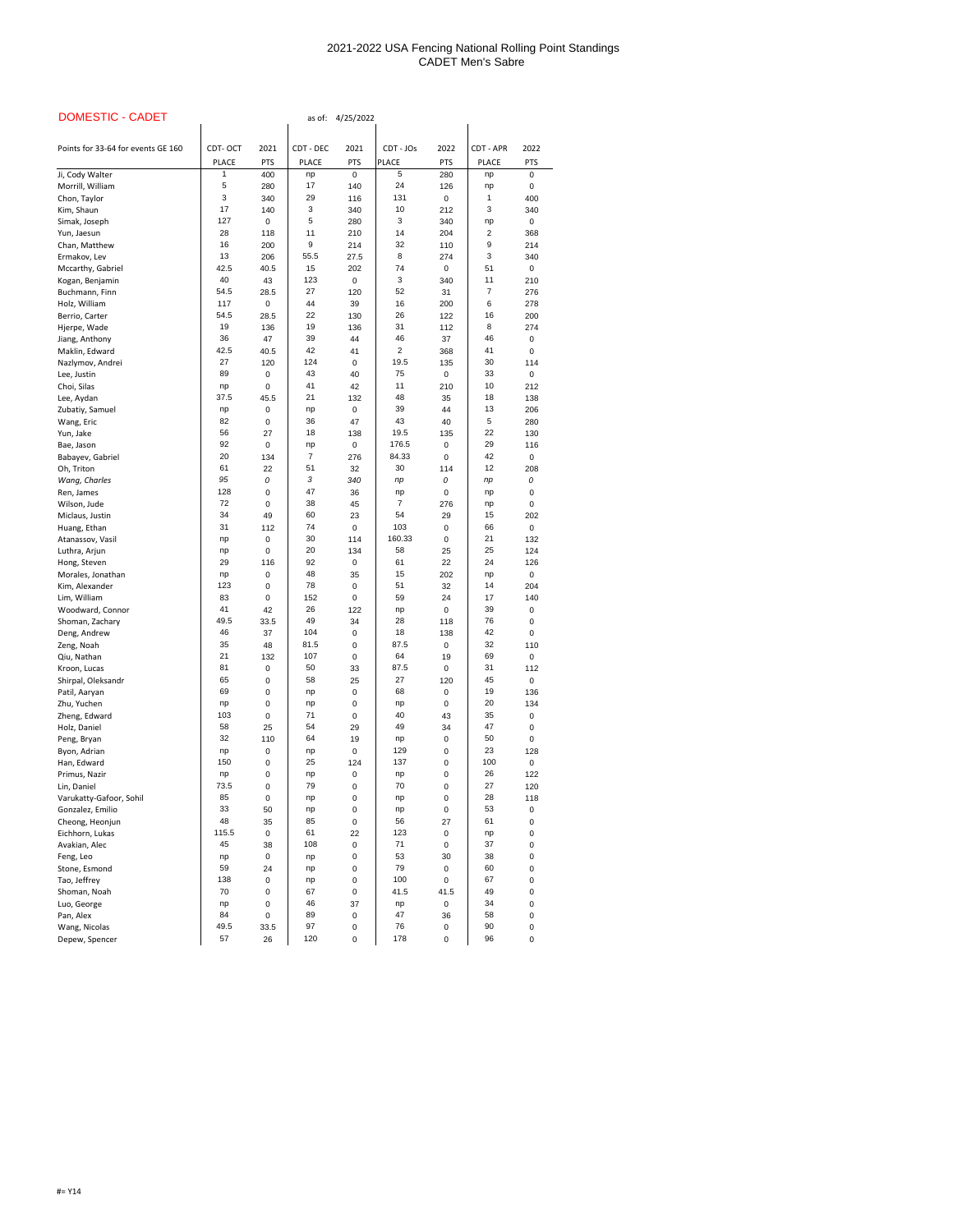| <b>DOMESTIC - CADET</b>             | 4/25/2022<br>as of: |             |                  |                   |              |            |                  |            |  |  |
|-------------------------------------|---------------------|-------------|------------------|-------------------|--------------|------------|------------------|------------|--|--|
| Points for 33-64 for events GE 160  | CDT-OCT             | 2021        | CDT - DEC        | 2021              | CDT - JOs    | 2022       | <b>CDT - APR</b> | 2022       |  |  |
|                                     | <b>PLACE</b>        | <b>PTS</b>  | <b>PLACE</b>     | <b>PTS</b>        | <b>PLACE</b> | <b>PTS</b> | <b>PLACE</b>     | <b>PTS</b> |  |  |
| Ji, Cody Walter                     | 1                   | 400         | np               | $\mathbf 0$       | 5            | 280        | np               | 0          |  |  |
| Morrill, William                    | 5                   | 280         | 17               | 140               | 24           | 126        | np               | 0          |  |  |
| Chon, Taylor                        | 3                   | 340         | 29               | 116               | 131          | 0          | $\mathbf 1$      | 400        |  |  |
| Kim, Shaun                          | 17                  | 140         | 3                | 340               | 10           | 212        | 3                | 340        |  |  |
| Simak, Joseph                       | 127                 | 0           | 5                | 280               | 3            | 340        | np               | 0          |  |  |
| Yun, Jaesun                         | 28                  | 118         | 11               | 210               | 14           | 204        | $\overline{2}$   | 368        |  |  |
| Chan, Matthew<br>Ermakov, Lev       | 16<br>13            | 200<br>206  | 9<br>55.5        | 214<br>27.5       | 32<br>8      | 110<br>274 | 9<br>3           | 214<br>340 |  |  |
| Mccarthy, Gabriel                   | 42.5                | 40.5        | 15               | 202               | 74           | 0          | 51               | 0          |  |  |
| Kogan, Benjamin                     | 40                  | 43          | 123              | $\pmb{0}$         | 3            | 340        | 11               | 210        |  |  |
| Buchmann, Finn                      | 54.5                | 28.5        | 27               | 120               | 52           | 31         | $\overline{7}$   | 276        |  |  |
| Holz, William                       | 117                 | 0           | 44               | 39                | 16           | 200        | 6                | 278        |  |  |
| Berrio, Carter                      | 54.5                | 28.5        | 22               | 130               | 26           | 122        | 16               | 200        |  |  |
| Hjerpe, Wade                        | 19                  | 136         | 19               | 136               | 31           | 112        | 8                | 274        |  |  |
| Jiang, Anthony                      | 36                  | 47          | 39               | 44                | 46           | 37         | 46               | 0          |  |  |
| Maklin, Edward                      | 42.5                | 40.5        | 42               | 41                | 2            | 368        | 41               | 0          |  |  |
| Nazlymov, Andrei<br>Lee, Justin     | 27<br>89            | 120<br>0    | 124<br>43        | $\mathbf 0$<br>40 | 19.5<br>75   | 135<br>0   | 30<br>33         | 114<br>0   |  |  |
| Choi, Silas                         | np                  | 0           | 41               | 42                | 11           | 210        | 10               | 212        |  |  |
| Lee, Aydan                          | 37.5                | 45.5        | 21               | 132               | 48           | 35         | 18               | 138        |  |  |
| Zubatiy, Samuel                     | np                  | 0           | np               | 0                 | 39           | 44         | 13               | 206        |  |  |
| Wang, Eric                          | 82                  | 0           | 36               | 47                | 43           | 40         | 5                | 280        |  |  |
| Yun, Jake                           | 56                  | 27          | 18               | 138               | 19.5         | 135        | 22               | 130        |  |  |
| Bae, Jason                          | 92                  | 0           | np               | $\pmb{0}$         | 176.5        | 0          | 29               | 116        |  |  |
| Babayev, Gabriel                    | 20                  | 134         | $\boldsymbol{7}$ | 276               | 84.33        | 0          | 42               | 0          |  |  |
| Oh, Triton                          | 61<br>95            | 22          | 51<br>3          | 32                | 30           | 114        | 12               | 208        |  |  |
| Wang, Charles<br>Ren, James         | 128                 | 0<br>0      | 47               | 340<br>36         | np<br>np     | 0<br>0     | np<br>np         | 0<br>0     |  |  |
| Wilson, Jude                        | 72                  | 0           | 38               | 45                | 7            | 276        | np               | 0          |  |  |
| Miclaus, Justin                     | 34                  | 49          | 60               | 23                | 54           | 29         | 15               | 202        |  |  |
| Huang, Ethan                        | 31                  | 112         | 74               | $\mathbf 0$       | 103          | 0          | 66               | 0          |  |  |
| Atanassov, Vasil                    | np                  | 0           | 30               | 114               | 160.33       | 0          | 21               | 132        |  |  |
| Luthra, Arjun                       | np                  | 0           | 20               | 134               | 58           | 25         | 25               | 124        |  |  |
| Hong, Steven                        | 29                  | 116         | 92               | $\pmb{0}$         | 61           | 22         | 24               | 126        |  |  |
| Morales, Jonathan                   | np                  | 0           | 48               | 35                | 15           | 202        | np               | 0          |  |  |
| Kim, Alexander<br>Lim, William      | 123<br>83           | 0<br>0      | 78<br>152        | 0<br>$\pmb{0}$    | 51<br>59     | 32<br>24   | 14<br>17         | 204<br>140 |  |  |
| Woodward, Connor                    | 41                  | 42          | 26               | 122               | np           | 0          | 39               | 0          |  |  |
| Shoman, Zachary                     | 49.5                | 33.5        | 49               | 34                | 28           | 118        | 76               | 0          |  |  |
| Deng, Andrew                        | 46                  | 37          | 104              | 0                 | 18           | 138        | 42               | 0          |  |  |
| Zeng, Noah                          | 35                  | 48          | 81.5             | 0                 | 87.5         | 0          | 32               | 110        |  |  |
| Qiu, Nathan                         | 21                  | 132         | 107              | $\pmb{0}$         | 64           | 19         | 69               | 0          |  |  |
| Kroon, Lucas                        | 81                  | 0           | 50               | 33                | 87.5         | 0          | 31               | 112        |  |  |
| Shirpal, Oleksandr                  | 65                  | 0           | 58               | 25                | 27           | 120        | 45               | 0          |  |  |
| Patil, Aaryan<br>Zhu, Yuchen        | 69<br>np            | 0<br>0      | np               | 0<br>$\pmb{0}$    | 68           | 0<br>0     | 19<br>20         | 136<br>134 |  |  |
| Zheng, Edward                       | 103                 | 0           | np<br>71         | 0                 | np<br>40     | 43         | 35               | 0          |  |  |
| Holz, Daniel                        | 58                  | 25          | 54               | 29                | 49           | 34         | 47               | 0          |  |  |
| Peng, Bryan                         | 32                  | 110         | 64               | 19                | np           | 0          | 50               | 0          |  |  |
| Byon, Adrian                        | np                  | 0           | np               | 0                 | 129          | 0          | 23               | 128        |  |  |
| Han, Edward                         | 150                 | 0           | 25               | 124               | 137          | 0          | 100              | $\pmb{0}$  |  |  |
| Primus, Nazir                       | np                  | 0           | np               | 0                 | np           | 0          | 26               | 122        |  |  |
| Lin, Daniel                         | 73.5                | 0           | 79               | 0                 | 70           | 0          | 27               | 120        |  |  |
| Varukatty-Gafoor, Sohil             | 85<br>33            | 0           | np               | 0                 | np           | 0          | 28<br>53         | 118        |  |  |
| Gonzalez, Emilio<br>Cheong, Heonjun | 48                  | 50<br>35    | np<br>85         | 0<br>$\pmb{0}$    | np<br>56     | 0<br>27    | 61               | 0<br>0     |  |  |
| Eichhorn, Lukas                     | 115.5               | $\Omega$    | 61               | 22                | 123          | 0          | np               | 0          |  |  |
| Avakian, Alec                       | 45                  | 38          | 108              | 0                 | 71           | 0          | 37               | 0          |  |  |
| Feng, Leo                           | np                  | $\mathbf 0$ | np               | 0                 | 53           | 30         | 38               | 0          |  |  |
| Stone, Esmond                       | 59                  | 24          | np               | 0                 | 79           | 0          | 60               | 0          |  |  |
| Tao, Jeffrey                        | 138                 | 0           | np               | 0                 | 100          | 0          | 67               | 0          |  |  |
| Shoman, Noah                        | 70                  | 0           | 67               | 0                 | 41.5         | 41.5       | 49               | 0          |  |  |
| Luo, George                         | np                  | 0           | 46               | 37                | np           | 0          | 34               | 0          |  |  |
| Pan, Alex<br>Wang, Nicolas          | 84<br>49.5          | 0<br>33.5   | 89<br>97         | 0<br>0            | 47<br>76     | 36<br>0    | 58<br>90         | 0          |  |  |
| Depew, Spencer                      | 57                  | 26          | 120              | 0                 | 178          | 0          | 96               | 0<br>0     |  |  |
|                                     |                     |             |                  |                   |              |            |                  |            |  |  |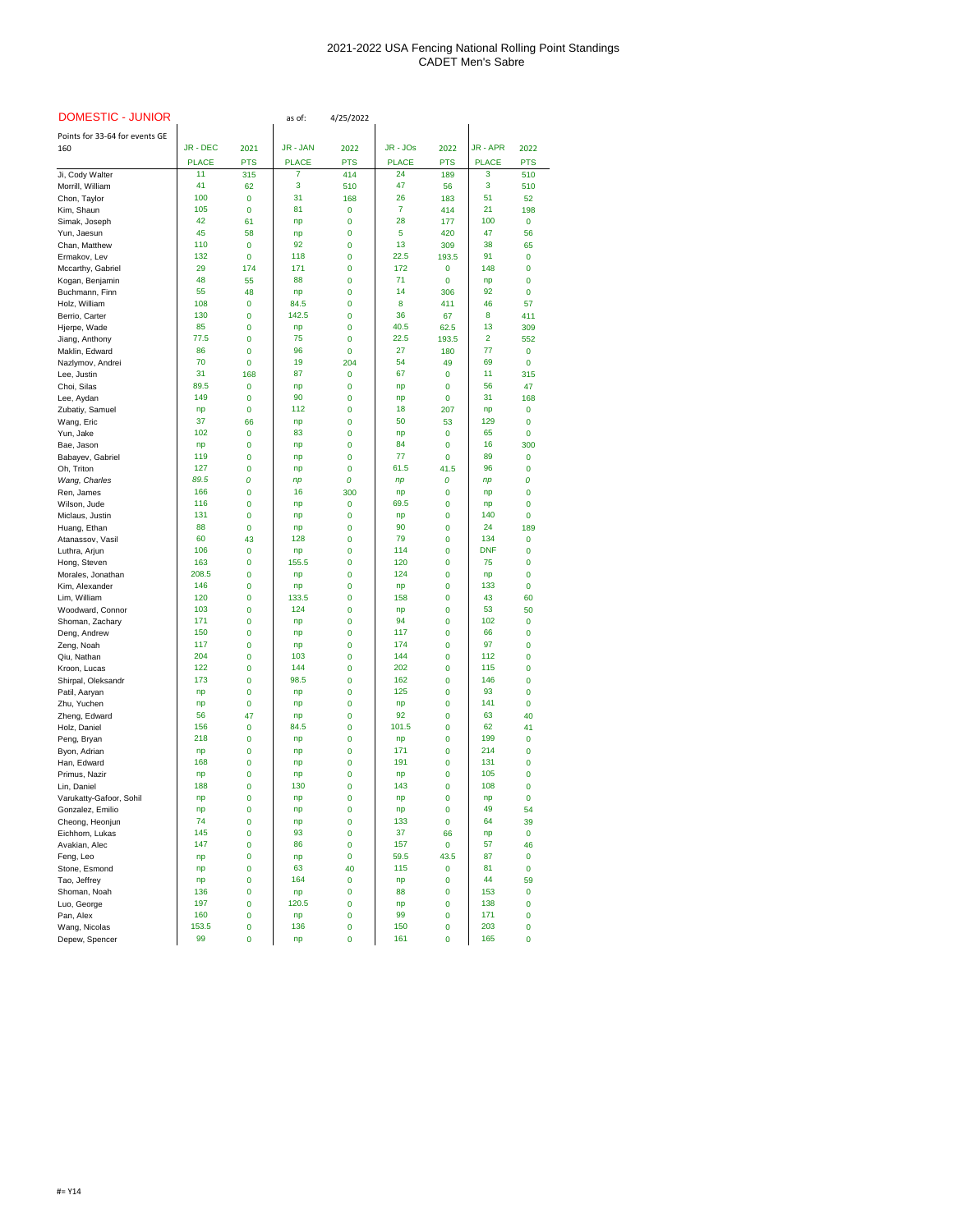| <b>DOMESTIC - JUNIOR</b>         |              |                             | as of:          | 4/25/2022                       |              |              |                |                   |
|----------------------------------|--------------|-----------------------------|-----------------|---------------------------------|--------------|--------------|----------------|-------------------|
| Points for 33-64 for events GE   |              |                             |                 |                                 |              |              |                |                   |
| 160                              | JR - DEC     | 2021                        | <b>JR - JAN</b> | 2022                            | JR - JOs     | 2022         | <b>JR-APR</b>  | 2022              |
|                                  | <b>PLACE</b> | <b>PTS</b>                  | <b>PLACE</b>    | <b>PTS</b>                      | <b>PLACE</b> | <b>PTS</b>   | <b>PLACE</b>   | <b>PTS</b>        |
| Ji, Cody Walter                  | 11           | 315                         | 7               | 414                             | 24           | 189          | 3              | 510               |
| Morrill, William                 | 41<br>100    | 62                          | 3<br>31         | 510                             | 47<br>26     | 56           | 3<br>51        | 510               |
| Chon, Taylor<br>Kim, Shaun       | 105          | $\mathbf{0}$<br>$\mathbf 0$ | 81              | 168<br>$\mathbf 0$              | 7            | 183<br>414   | 21             | 52<br>198         |
| Simak, Joseph                    | 42           | 61                          | np              | 0                               | 28           | 177          | 100            | $\mathbf{0}$      |
| Yun, Jaesun                      | 45           | 58                          | np              | $\mathbf 0$                     | 5            | 420          | 47             | 56                |
| Chan, Matthew                    | 110          | $\mathbf 0$                 | 92              | 0                               | 13           | 309          | 38             | 65                |
| Ermakov, Lev                     | 132          | $\mathbf 0$                 | 118             | 0                               | 22.5         | 193.5        | 91             | 0                 |
| Mccarthy, Gabriel                | 29           | 174                         | 171             | $\mathbf 0$                     | 172          | 0            | 148            | $\mathbf{0}$      |
| Kogan, Benjamin                  | 48           | 55                          | 88              | 0                               | 71           | 0            | np             | 0                 |
| Buchmann, Finn                   | 55<br>108    | 48                          | np<br>84.5      | $\mathbf 0$                     | 14           | 306          | 92<br>46       | $\Omega$          |
| Holz, William<br>Berrio, Carter  | 130          | $\pmb{0}$<br>$\mathbf 0$    | 142.5           | 0<br>$\mathbf 0$                | 8<br>36      | 411<br>67    | 8              | 57<br>411         |
| Hjerpe, Wade                     | 85           | 0                           | np              | $\boldsymbol{0}$                | 40.5         | 62.5         | 13             | 309               |
| Jiang, Anthony                   | 77.5         | $\mathbf{0}$                | 75              | $\mathbf 0$                     | 22.5         | 193.5        | $\overline{2}$ | 552               |
| Maklin, Edward                   | 86           | $\mathbf{0}$                | 96              | $\mathbf{0}$                    | 27           | 180          | 77             | $\mathbf{0}$      |
| Nazlymov, Andrei                 | 70           | $\bf{0}$                    | 19              | 204                             | 54           | 49           | 69             | $\bf{0}$          |
| Lee, Justin                      | 31           | 168                         | 87              | $\mathbf 0$                     | 67           | $\mathbf 0$  | 11             | 315               |
| Choi, Silas                      | 89.5         | $\mathbf{0}$                | np              | 0                               | np           | 0            | 56             | 47                |
| Lee, Aydan                       | 149          | $\mathbf{0}$                | 90              | $\mathbf 0$                     | np           | 0            | 31             | 168               |
| Zubatiy, Samuel                  | np<br>37     | $\mathbf 0$<br>66           | 112             | 0                               | 18<br>50     | 207<br>53    | np<br>129      | $\mathbf 0$       |
| Wang, Eric<br>Yun, Jake          | 102          | $\mathbf 0$                 | np<br>83        | 0<br>$\mathbf 0$                | np           | $\mathbf 0$  | 65             | 0<br>$\Omega$     |
| Bae, Jason                       | np           | $\mathbf 0$                 | np              | 0                               | 84           | 0            | 16             | 300               |
| Babayev, Gabriel                 | 119          | 0                           | np              | $\boldsymbol{0}$                | 77           | 0            | 89             | $\mathbf 0$       |
| Oh, Triton                       | 127          | $\mathbf 0$                 | np              | $\mathbf 0$                     | 61.5         | 41.5         | 96             | $\bf{0}$          |
| Wang, Charles                    | 89.5         | 0                           | np              | 0                               | np           | 0            | np             | 0                 |
| Ren, James                       | 166          | 0                           | 16              | 300                             | np           | 0            | np             | 0                 |
| Wilson, Jude                     | 116          | 0                           | np              | $\mathbf 0$                     | 69.5         | 0            | np             | 0                 |
| Miclaus, Justin                  | 131<br>88    | $\mathbf{0}$<br>$\mathbf 0$ | np              | 0<br>$\mathbf 0$                | np<br>90     | 0<br>0       | 140<br>24      | 0<br>189          |
| Huang, Ethan<br>Atanassov, Vasil | 60           | 43                          | np<br>128       | 0                               | 79           | 0            | 134            | $\mathbf{0}$      |
| Luthra, Arjun                    | 106          | $\bf{0}$                    | np              | 0                               | 114          | 0            | <b>DNF</b>     | 0                 |
| Hong, Steven                     | 163          | $\mathbf{0}$                | 155.5           | $\mathbf 0$                     | 120          | 0            | 75             | 0                 |
| Morales, Jonathan                | 208.5        | $\mathbf 0$                 | np              | $\mathbf 0$                     | 124          | 0            | np             | 0                 |
| Kim, Alexander                   | 146          | $\mathbf 0$                 | np              | 0                               | np           | 0            | 133            | $\mathbf{0}$      |
| Lim, William                     | 120          | $\mathbf{0}$                | 133.5           | $\mathbf 0$                     | 158          | 0            | 43             | 60                |
| Woodward, Connor                 | 103          | $\bf{0}$                    | 124             | 0                               | np<br>94     | 0            | 53             | 50                |
| Shoman, Zachary<br>Deng, Andrew  | 171<br>150   | $\mathbf{0}$<br>0           | np<br>np        | $\mathbf 0$<br>0                | 117          | 0<br>0       | 102<br>66      | $\mathbf{0}$<br>0 |
| Zeng, Noah                       | 117          | $\mathbf{0}$                | np              | $\mathbf 0$                     | 174          | 0            | 97             | 0                 |
| Qiu, Nathan                      | 204          | $\mathbf{0}$                | 103             | $\mathbf 0$                     | 144          | 0            | 112            | 0                 |
| Kroon, Lucas                     | 122          | 0                           | 144             | 0                               | 202          | 0            | 115            | 0                 |
| Shirpal, Oleksandr               | 173          | $\mathbf{0}$                | 98.5            | $\mathbf 0$                     | 162          | 0            | 146            | 0                 |
| Patil, Aaryan                    | np           | $\bf{0}$                    | np              | 0                               | 125          | 0            | 93             | 0                 |
| Zhu, Yuchen                      | np           | $\mathbf{0}$                | np              | 0                               | np           | 0            | 141            | $\Omega$          |
| Zheng, Edward                    | 56<br>156    | 47                          | np<br>84.5      | 0                               | 92<br>101.5  | 0            | 63<br>62       | 40                |
| Holz, Daniel<br>Peng, Bryan      | 218          | $\mathbf 0$<br>$\mathbf{0}$ | np              | 0<br>$\mathbf{0}$               | np           | 0<br>0       | 199            | 41<br>0           |
| Byon, Adrian                     | np           | $\bf{0}$                    | np              | 0                               | 171          | 0            | 214            | 0                 |
| Han, Edward                      | 168          | $\mathbf{0}$                | np              | $\mathbf 0$                     | 191          | 0            | 131            | 0                 |
| Primus, Nazir                    | np           | 0                           | np              | 0                               | np           | 0            | 105            | 0                 |
| Lin, Daniel                      | 188          | $\mathbf{0}$                | 130             | $\mathbf 0$                     | 143          | 0            | 108            | 0                 |
| Varukatty-Gafoor, Sohil          | np           | 0                           | np              | 0                               | np           | 0            | np             | $\Omega$          |
| Gonzalez, Emilio                 | np           | 0                           | np              | 0                               | np           | 0            | 49             | 54                |
| Cheong, Heonjun                  | 74           | 0                           | np              | 0                               | 133          | 0            | 64             | 39                |
| Eichhorn, Lukas                  | 145<br>147   | $\mathbf 0$<br>$\mathbf{0}$ | 93<br>86        | $\mathbf 0$                     | 37<br>157    | 66<br>0      | np<br>57       | $\bf{0}$<br>46    |
| Avakian, Alec<br>Feng, Leo       | np           | $\bf{0}$                    | np              | $\boldsymbol{0}$<br>$\mathbf 0$ | 59.5         | 43.5         | 87             | $\mathbf 0$       |
| Stone, Esmond                    | np           | 0                           | 63              | 40                              | 115          | 0            | 81             | $\mathbf{0}$      |
| Tao, Jeffrey                     | np           | $\mathbf{0}$                | 164             | $\mathbf 0$                     | np           | 0            | 44             | 59                |
| Shoman, Noah                     | 136          | $\mathbf{0}$                | np              | 0                               | 88           | $\mathbf{0}$ | 153            | 0                 |
| Luo, George                      | 197          | $\mathbf{0}$                | 120.5           | $\mathbf{0}$                    | np           | $\mathbf{0}$ | 138            | 0                 |
| Pan, Alex                        | 160          | $\bf{0}$                    | np              | $\boldsymbol{0}$                | 99           | 0            | 171            | 0                 |
| Wang, Nicolas                    | 153.5        | $\mathbf 0$                 | 136             | $\mathbf 0$                     | 150          | 0            | 203            | $\Omega$          |
| Depew, Spencer                   | 99           | $\bf{0}$                    | np              | $\bf{0}$                        | 161          | 0            | 165            | $\pmb{0}$         |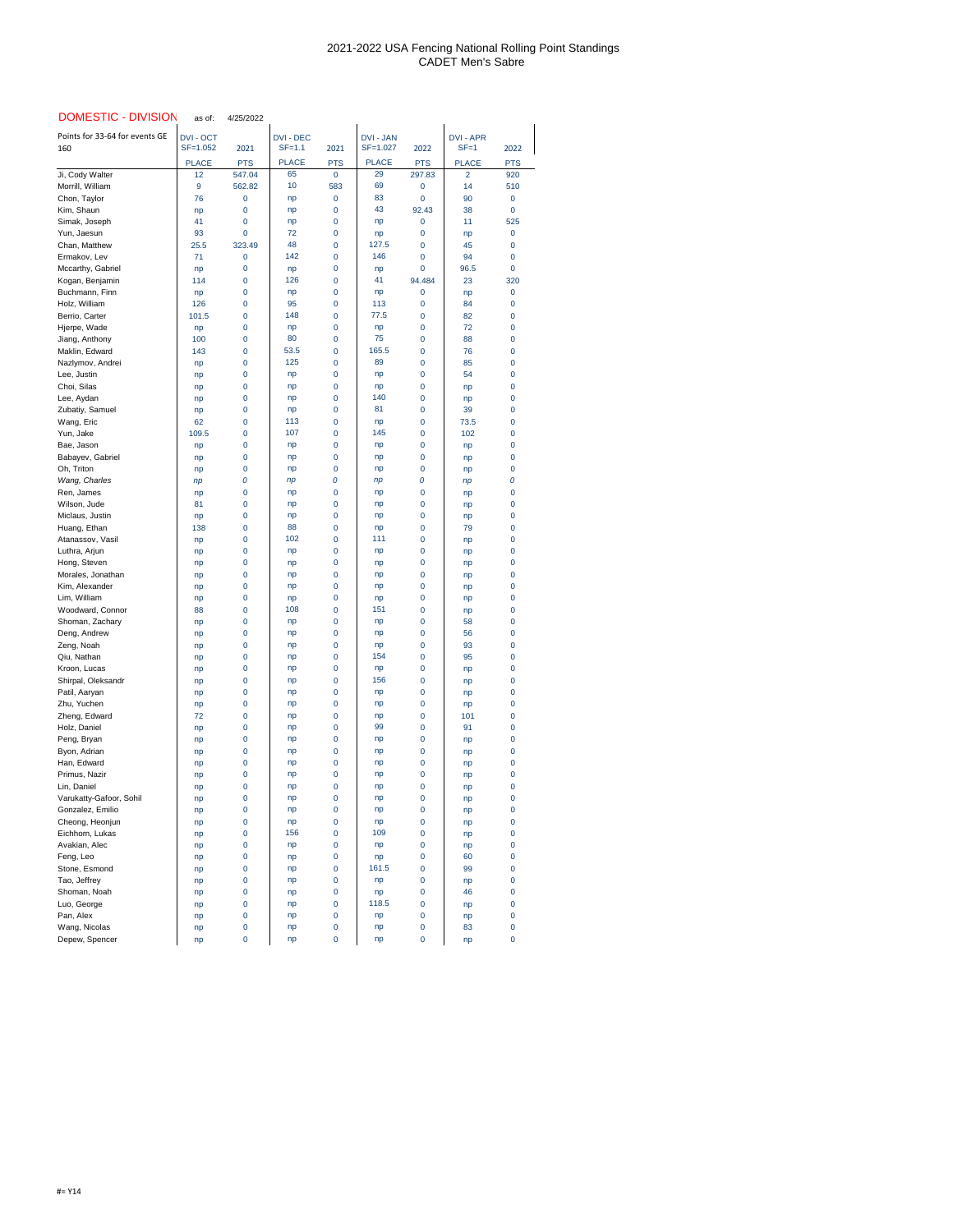| <b>DOMESTIC - DIVISION</b>             | as of:             | 4/25/2022            |                    |                              |                    |                      |                                |                                  |
|----------------------------------------|--------------------|----------------------|--------------------|------------------------------|--------------------|----------------------|--------------------------------|----------------------------------|
| Points for 33-64 for events GE         | <b>DVI - OCT</b>   |                      | <b>DVI - DEC</b>   |                              | <b>DVI - JAN</b>   |                      | <b>DVI - APR</b>               |                                  |
| 160                                    | SF=1.052           | 2021                 | $SF=1.1$           | 2021                         | SF=1.027           | 2022                 | $SF = 1$                       | 2022                             |
| Ji, Cody Walter                        | <b>PLACE</b><br>12 | <b>PTS</b><br>547.04 | <b>PLACE</b><br>65 | <b>PTS</b><br>$\overline{0}$ | <b>PLACE</b><br>29 | <b>PTS</b><br>297.83 | <b>PLACE</b><br>$\overline{2}$ | <b>PTS</b><br>920                |
| Morrill, William                       | 9                  | 562.82               | 10                 | 583                          | 69                 | $\mathbf 0$          | 14                             | 510                              |
| Chon, Taylor                           | 76                 | 0                    | np                 | 0                            | 83                 | 0                    | 90                             | $\mathbf 0$                      |
| Kim, Shaun                             | np                 | $\boldsymbol{0}$     | np                 | 0                            | 43                 | 92.43                | 38                             | $\mathbf 0$                      |
| Simak, Joseph                          | 41                 | $\mathbf 0$          | np                 | 0                            | np                 | 0                    | 11                             | 525                              |
| Yun, Jaesun                            | 93                 | $\mathbf 0$          | 72                 | 0                            | np                 | 0                    | np                             | $\mathbf 0$                      |
| Chan, Matthew                          | 25.5               | 323.49               | 48<br>142          | 0                            | 127.5<br>146       | 0                    | 45                             | 0                                |
| Ermakov, Lev<br>Mccarthy, Gabriel      | 71<br>np           | $\mathbf 0$<br>0     | np                 | $\mathbf{0}$<br>0            | np                 | 0<br>0               | 94<br>96.5                     | $\overline{0}$<br>$\overline{0}$ |
| Kogan, Benjamin                        | 114                | 0                    | 126                | 0                            | 41                 | 94.484               | 23                             | 320                              |
| Buchmann, Finn                         | np                 | $\mathbf 0$          | np                 | 0                            | np                 | $\mathbf 0$          | np                             | $\mathbf 0$                      |
| Holz, William                          | 126                | 0                    | 95                 | 0                            | 113                | 0                    | 84                             | 0                                |
| Berrio, Carter                         | 101.5              | 0                    | 148                | $\mathbf 0$                  | 77.5               | 0                    | 82                             | $\mathbf{0}$                     |
| Hjerpe, Wade                           | np                 | 0                    | np                 | 0                            | np                 | 0                    | 72                             | 0                                |
| Jiang, Anthony<br>Maklin, Edward       | 100<br>143         | 0<br>0               | 80<br>53.5         | 0<br>$\pmb{0}$               | 75<br>165.5        | 0<br>0               | 88<br>76                       | 0<br>0                           |
| Nazlymov, Andrei                       | np                 | 0                    | 125                | 0                            | 89                 | 0                    | 85                             | $\Omega$                         |
| Lee, Justin                            | np                 | 0                    | np                 | 0                            | np                 | 0                    | 54                             | $\Omega$                         |
| Choi, Silas                            | np                 | 0                    | np                 | 0                            | np                 | $\mathbf{0}$         | np                             | 0                                |
| Lee, Aydan                             | np                 | 0                    | np                 | 0                            | 140                | 0                    | np                             | 0                                |
| Zubatiy, Samuel                        | np                 | 0                    | np                 | 0                            | 81                 | 0                    | 39                             | 0                                |
| Wang, Eric                             | 62                 | 0                    | 113                | $\mathbf 0$                  | np                 | 0                    | 73.5                           | 0                                |
| Yun, Jake<br>Bae, Jason                | 109.5<br>np        | 0<br>0               | 107<br>np          | 0<br>0                       | 145<br>np          | 0<br>0               | 102<br>np                      | 0<br>0                           |
| Babayev, Gabriel                       | np                 | $\boldsymbol{0}$     | np                 | $\pmb{0}$                    | np                 | 0                    | np                             | 0                                |
| Oh, Triton                             | np                 | $\mathbf{0}$         | np                 | $\mathbf 0$                  | np                 | 0                    | np                             | $\Omega$                         |
| Wang, Charles                          | np                 | 0                    | np                 | 0                            | np                 | 0                    | np                             | 0                                |
| Ren, James                             | np                 | 0                    | np                 | 0                            | np                 | 0                    | np                             | 0                                |
| Wilson, Jude                           | 81                 | 0                    | np                 | $\mathbf 0$                  | np                 | 0                    | np                             | 0                                |
| Miclaus, Justin<br>Huang, Ethan        | np<br>138          | 0                    | np<br>88           | 0<br>0                       | np                 | 0<br>$\mathbf{0}$    | np<br>79                       | 0<br>0                           |
| Atanassov, Vasil                       | np                 | 0<br>0               | 102                | 0                            | np<br>111          | 0                    | np                             | 0                                |
| Luthra, Arjun                          | np                 | 0                    | np                 | 0                            | np                 | 0                    | np                             | 0                                |
| Hong, Steven                           | np                 | 0                    | np                 | 0                            | np                 | 0                    | np                             | 0                                |
| Morales, Jonathan                      | np                 | 0                    | np                 | 0                            | np                 | 0                    | np                             | 0                                |
| Kim, Alexander                         | np                 | $\mathbf 0$          | np                 | 0                            | np                 | 0                    | np                             | 0                                |
| Lim, William                           | np                 | 0                    | np                 | 0                            | np                 | $\mathbf 0$          | np                             | 0                                |
| Woodward, Connor<br>Shoman, Zachary    | 88<br>np           | 0<br>0               | 108<br>np          | 0<br>0                       | 151<br>np          | 0<br>0               | np<br>58                       | 0<br>0                           |
| Deng, Andrew                           | np                 | 0                    | np                 | 0                            | np                 | 0                    | 56                             | 0                                |
| Zeng, Noah                             | np                 | 0                    | np                 | 0                            | np                 | 0                    | 93                             | 0                                |
| Qiu, Nathan                            | np                 | 0                    | np                 | 0                            | 154                | $\mathbf 0$          | 95                             | 0                                |
| Kroon, Lucas                           | np                 | $\mathbf 0$          | np                 | 0                            | np                 | 0                    | np                             | 0                                |
| Shirpal, Oleksandr                     | np                 | 0                    | np                 | 0                            | 156                | 0                    | np                             | 0                                |
| Patil, Aaryan                          | np                 | 0                    | np                 | 0                            | np                 | $\mathbf{0}$         | np                             | 0                                |
| Zhu, Yuchen<br>Zheng, Edward           | np<br>72           | 0<br>0               | np<br>np           | 0<br>0                       | np<br>np           | 0<br>0               | np<br>101                      | 0<br>0                           |
| Holz, Daniel                           | np                 | 0                    | np                 | 0                            | 99                 | 0                    | 91                             | 0                                |
| Peng, Bryan                            | np                 | 0                    | np                 | 0                            | np                 | 0                    | np                             | 0                                |
| Byon, Adrian                           | np                 | 0                    | np                 | 0                            | np                 | 0                    | np                             | 0                                |
| Han, Edward                            | np                 | 0                    | np                 | 0                            | np                 | 0                    | np                             | 0                                |
| Primus, Nazir                          | np                 | 0                    | np                 | 0                            | np                 | 0                    | np                             | 0                                |
| Lin, Daniel<br>Varukatty-Gafoor, Sohil | np<br>np           | 0<br>0               | np<br>np           | 0<br>0                       | np<br>np           | 0<br>0               | np<br>np                       | 0<br>0                           |
| Gonzalez, Emilio                       | np                 | 0                    | np                 | 0                            | np                 | 0                    | np                             | 0                                |
| Cheong, Heonjun                        | np                 | $\mathbf 0$          | np                 | 0                            | np                 | 0                    | np                             | 0                                |
| Eichhorn, Lukas                        | np                 | 0                    | 156                | $\Omega$                     | 109                | 0                    | np                             | $\Omega$                         |
| Avakian, Alec                          | np                 | $\mathbf 0$          | np                 | 0                            | np                 | 0                    | np                             | 0                                |
| Feng, Leo                              | np                 | 0                    | np                 | 0                            | np                 | 0                    | 60                             | 0                                |
| Stone, Esmond                          | np                 | 0                    | np                 | 0                            | 161.5              | $\mathbf{0}$         | 99                             | 0                                |
| Tao, Jeffrey<br>Shoman, Noah           | np<br>np           | 0<br>0               | np<br>np           | 0<br>0                       | np<br>np           | 0<br>0               | np<br>46                       | 0<br>0                           |
| Luo, George                            | np                 | $\mathbf 0$          | np                 | 0                            | 118.5              | $\mathbf 0$          | np                             | 0                                |
| Pan, Alex                              | np                 | 0                    | np                 | 0                            | np                 | 0                    | np                             | 0                                |
| Wang, Nicolas                          | np                 | $\overline{0}$       | np                 | 0                            | np                 | 0                    | 83                             | 0                                |
| Depew, Spencer                         | np                 | $\boldsymbol{0}$     | np                 | 0                            | np                 | 0                    | np                             | 0                                |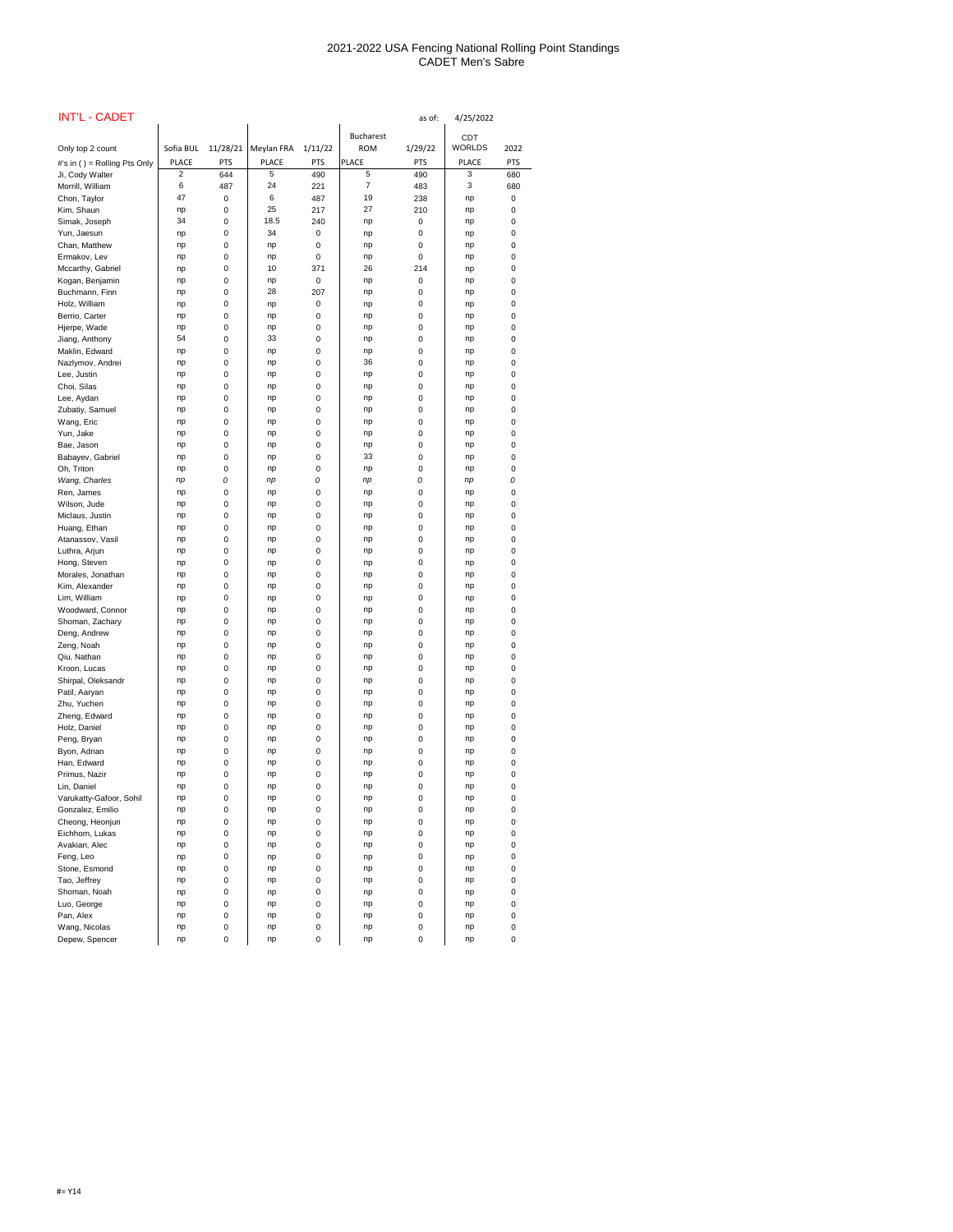| <b>INT'L - CADET</b>                |                                |                   |                   |                   |                   | as of:            | 4/25/2022                  |                   |
|-------------------------------------|--------------------------------|-------------------|-------------------|-------------------|-------------------|-------------------|----------------------------|-------------------|
|                                     |                                |                   |                   |                   | <b>Bucharest</b>  |                   | <b>CDT</b>                 |                   |
| Only top 2 count                    | Sofia BUL                      | 11/28/21          | Meylan FRA        | 1/11/22           | <b>ROM</b>        | 1/29/22           | <b>WORLDS</b>              | 2022              |
| #'s in () = Rolling Pts Only        | <b>PLACE</b><br>$\overline{2}$ | <b>PTS</b><br>644 | <b>PLACE</b><br>5 | <b>PTS</b><br>490 | <b>PLACE</b><br>5 | <b>PTS</b><br>490 | <b>PLACE</b><br>$\sqrt{3}$ | <b>PTS</b><br>680 |
| Ji, Cody Walter<br>Morrill, William | 6                              | 487               | 24                | 221               | 7                 | 483               | 3                          | 680               |
| Chon, Taylor                        | 47                             | 0                 | 6                 | 487               | 19                | 238               | np                         | 0                 |
| Kim, Shaun                          | np                             | 0                 | 25                | 217               | 27                | 210               | np                         | 0                 |
| Simak, Joseph                       | 34                             | 0                 | 18.5              | 240               | np                | 0                 | np                         | 0                 |
| Yun, Jaesun                         | np                             | 0                 | 34                | 0                 | np                | 0                 | np                         | 0                 |
| Chan, Matthew                       | np                             | 0                 | np                | 0                 | np                | 0                 | np                         | 0                 |
| Ermakov, Lev<br>Mccarthy, Gabriel   | np<br>np                       | 0<br>0            | np<br>10          | 0<br>371          | np<br>26          | 0<br>214          | np<br>np                   | 0<br>0            |
| Kogan, Benjamin                     | np                             | 0                 | np                | 0                 | np                | 0                 | np                         | 0                 |
| Buchmann, Finn                      | np                             | 0                 | 28                | 207               | np                | 0                 | np                         | 0                 |
| Holz, William                       | np                             | 0                 | np                | 0                 | np                | 0                 | np                         | 0                 |
| Berrio, Carter                      | np                             | 0                 | np                | 0                 | np                | 0                 | np                         | 0                 |
| Hjerpe, Wade                        | np<br>54                       | 0                 | np<br>33          | 0                 | np                | 0                 | np                         | 0                 |
| Jiang, Anthony<br>Maklin, Edward    | np                             | 0<br>0            | np                | 0<br>0            | np<br>np          | 0<br>0            | np<br>np                   | 0<br>0            |
| Nazlymov, Andrei                    | np                             | 0                 | np                | 0                 | 36                | 0                 | np                         | 0                 |
| Lee, Justin                         | np                             | 0                 | np                | 0                 | np                | 0                 | np                         | 0                 |
| Choi, Silas                         | np                             | 0                 | np                | 0                 | np                | 0                 | np                         | 0                 |
| Lee, Aydan                          | np                             | 0                 | np                | 0                 | np                | 0                 | np                         | 0                 |
| Zubatiy, Samuel                     | np                             | 0                 | np                | 0                 | np                | 0                 | np                         | 0                 |
| Wang, Eric                          | np                             | 0                 | np                | 0                 | np                | 0                 | np                         | 0                 |
| Yun, Jake<br>Bae, Jason             | np<br>np                       | 0<br>0            | np<br>np          | 0<br>0            | np<br>np          | 0<br>0            | np<br>np                   | 0<br>0            |
| Babayev, Gabriel                    | np                             | 0                 | np                | 0                 | 33                | 0                 | np                         | 0                 |
| Oh, Triton                          | np                             | 0                 | np                | 0                 | np                | 0                 | np                         | 0                 |
| Wang, Charles                       | np                             | 0                 | np                | 0                 | np                | 0                 | np                         | 0                 |
| Ren, James                          | np                             | 0                 | np                | 0                 | np                | 0                 | np                         | 0                 |
| Wilson, Jude                        | np                             | 0                 | np                | 0                 | np                | 0                 | np                         | 0                 |
| Miclaus, Justin<br>Huang, Ethan     | np<br>np                       | 0<br>0            | np<br>np          | 0<br>0            | np<br>np          | 0<br>0            | np<br>np                   | 0<br>0            |
| Atanassov, Vasil                    | np                             | 0                 | np                | 0                 | np                | 0                 | np                         | 0                 |
| Luthra, Arjun                       | np                             | 0                 | np                | 0                 | np                | 0                 | np                         | 0                 |
| Hong, Steven                        | np                             | 0                 | np                | 0                 | np                | 0                 | np                         | 0                 |
| Morales, Jonathan                   | np                             | 0                 | np                | 0                 | np                | 0                 | np                         | 0                 |
| Kim, Alexander                      | np                             | 0                 | np                | 0                 | np                | 0                 | np                         | 0                 |
| Lim, William                        | np                             | 0                 | np                | 0                 | np                | 0                 | np                         | 0                 |
| Woodward, Connor<br>Shoman, Zachary | np<br>np                       | 0<br>0            | np<br>np          | 0<br>0            | np<br>np          | 0<br>0            | np<br>np                   | 0<br>0            |
| Deng, Andrew                        | np                             | 0                 | np                | 0                 | np                | 0                 | np                         | 0                 |
| Zeng, Noah                          | np                             | 0                 | np                | 0                 | np                | 0                 | np                         | 0                 |
| Qiu, Nathan                         | np                             | 0                 | np                | 0                 | np                | 0                 | np                         | 0                 |
| Kroon, Lucas                        | np                             | 0                 | np                | 0                 | np                | 0                 | np                         | 0                 |
| Shirpal, Oleksandr                  | np                             | 0                 | np                | 0                 | np                | 0                 | np                         | 0                 |
| Patil, Aaryan<br>Zhu, Yuchen        | np<br>np                       | 0<br>0            | np<br>np          | 0<br>0            | np<br>np          | 0<br>0            | np<br>np                   | 0<br>0            |
| Zheng, Edward                       | np                             | 0                 | np                | 0                 | np                | 0                 | np                         | 0                 |
| Holz, Daniel                        | np                             | 0                 | np                | 0                 | np                | 0                 | np                         | 0                 |
| Peng, Bryan                         | np                             | 0                 | np                | 0                 | np                | 0                 | np                         | 0                 |
| Byon, Adrian                        | np                             | 0                 | np                | 0                 | np                | 0                 | np                         | 0                 |
| Han, Edward                         | np                             | 0                 | np                | 0                 | np                | 0                 | np                         | 0                 |
| Primus, Nazir<br>Lin, Daniel        | np<br>np                       | 0<br>0            | np<br>np          | 0<br>0            | np<br>np          | 0<br>0            | np<br>np                   | 0<br>0            |
| Varukatty-Gafoor, Sohil             | np                             | 0                 | np                | 0                 | np                | 0                 | np                         | 0                 |
| Gonzalez, Emilio                    | np                             | 0                 | np                | 0                 | np                | 0                 | np                         | 0                 |
| Cheong, Heonjun                     | np                             | 0                 | np                | 0                 | np                | 0                 | np                         | 0                 |
| Eichhorn, Lukas                     | np                             | 0                 | np                | 0                 | np                | 0                 | np                         | 0                 |
| Avakian, Alec                       | np                             | 0                 | np                | 0                 | np                | 0                 | np                         | 0                 |
| Feng, Leo                           | np                             | 0                 | np                | 0                 | np                | 0                 | np                         | 0                 |
| Stone, Esmond<br>Tao, Jeffrey       | np<br>np                       | 0<br>0            | np<br>np          | 0<br>0            | np<br>np          | 0<br>0            | np<br>np                   | 0<br>0            |
| Shoman, Noah                        | np                             | 0                 | np                | 0                 | np                | 0                 | np                         | 0                 |
| Luo, George                         | np                             | 0                 | np                | 0                 | np                | 0                 | np                         | 0                 |
| Pan, Alex                           | np                             | 0                 | np                | 0                 | np                | 0                 | np                         | 0                 |
| Wang, Nicolas                       | np                             | 0                 | np                | 0                 | np                | 0                 | np                         | 0                 |
| Depew, Spencer                      | np                             | 0                 | np                | 0                 | np                | 0                 | np                         | $\pmb{0}$         |